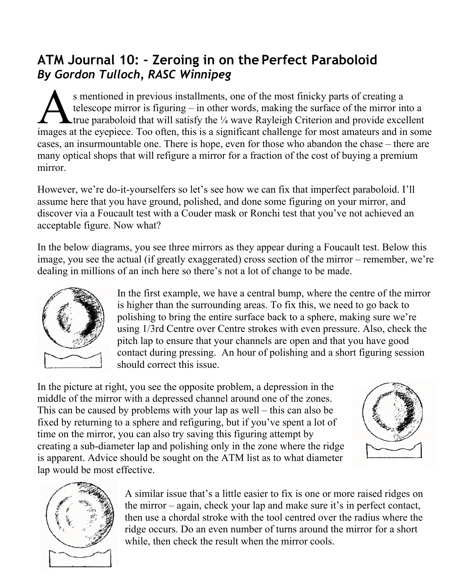## **ATM Journal 10: – Zeroing in on the Perfect Paraboloid** *By Gordon Tulloch, RASC Winnipeg*

s mentioned in previous installments, one of the most finicky parts of creating a telescope mirror is figuring – in other words, making the surface of the mirror into a **Lettrue paraboloid that will satisfy the**  $\frac{1}{4}$  **wave Rayleigh Criterion and provide excellent** S mentioned in previous installments, one of the most finicky parts of creating a telescope mirror is figuring – in other words, making the surface of the mirror into a true paraboloid that will satisfy the  $\frac{1}{4}$  wave cases, an insurmountable one. There is hope, even for those who abandon the chase – there are many optical shops that will refigure a mirror for a fraction of the cost of buying a premium mirror.

However, we're do-it-yourselfers so let's see how we can fix that imperfect paraboloid. I'll assume here that you have ground, polished, and done some figuring on your mirror, and discover via a Foucault test with a Couder mask or Ronchi test that you've not achieved an acceptable figure. Now what?

In the below diagrams, you see three mirrors as they appear during a Foucault test. Below this image, you see the actual (if greatly exaggerated) cross section of the mirror – remember, we're dealing in millions of an inch here so there's not a lot of change to be made.



In the first example, we have a central bump, where the centre of the mirror is higher than the surrounding areas. To fix this, we need to go back to polishing to bring the entire surface back to a sphere, making sure we're using 1/3rd Centre over Centre strokes with even pressure. Also, check the pitch lap to ensure that your channels are open and that you have good contact during pressing. An hour of polishing and a short figuring session should correct this issue.

In the picture at right, you see the opposite problem, a depression in the middle of the mirror with a depressed channel around one of the zones. This can be caused by problems with your lap as well – this can also be fixed by returning to a sphere and refiguring, but if you've spent a lot of time on the mirror, you can also try saving this figuring attempt by creating a sub-diameter lap and polishing only in the zone where the ridge is apparent. Advice should be sought on the ATM list as to what diameter lap would be most effective.





A similar issue that's a little easier to fix is one or more raised ridges on the mirror – again, check your lap and make sure it's in perfect contact, then use a chordal stroke with the tool centred over the radius where the ridge occurs. Do an even number of turns around the mirror for a short while, then check the result when the mirror cools.